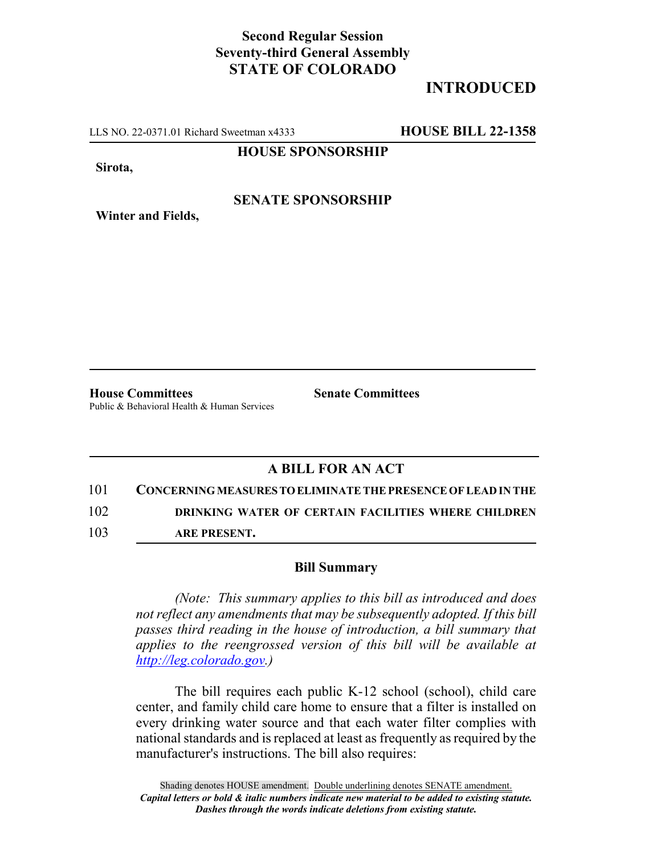## **Second Regular Session Seventy-third General Assembly STATE OF COLORADO**

# **INTRODUCED**

LLS NO. 22-0371.01 Richard Sweetman x4333 **HOUSE BILL 22-1358**

**HOUSE SPONSORSHIP**

**Sirota,**

**Winter and Fields,**

#### **SENATE SPONSORSHIP**

**House Committees Senate Committees** Public & Behavioral Health & Human Services

### **A BILL FOR AN ACT**

101 **CONCERNING MEASURES TO ELIMINATE THE PRESENCE OF LEAD IN THE** 102 **DRINKING WATER OF CERTAIN FACILITIES WHERE CHILDREN**

103 **ARE PRESENT.**

#### **Bill Summary**

*(Note: This summary applies to this bill as introduced and does not reflect any amendments that may be subsequently adopted. If this bill passes third reading in the house of introduction, a bill summary that applies to the reengrossed version of this bill will be available at http://leg.colorado.gov.)*

The bill requires each public K-12 school (school), child care center, and family child care home to ensure that a filter is installed on every drinking water source and that each water filter complies with national standards and is replaced at least as frequently as required by the manufacturer's instructions. The bill also requires: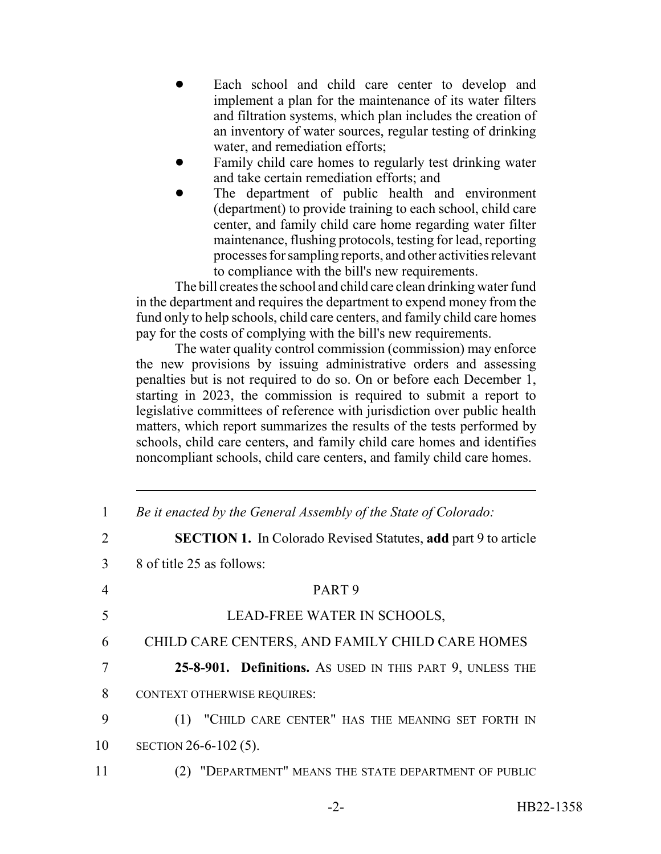- Each school and child care center to develop and implement a plan for the maintenance of its water filters and filtration systems, which plan includes the creation of an inventory of water sources, regular testing of drinking water, and remediation efforts;
- ! Family child care homes to regularly test drinking water and take certain remediation efforts; and
- The department of public health and environment (department) to provide training to each school, child care center, and family child care home regarding water filter maintenance, flushing protocols, testing for lead, reporting processes for sampling reports, and other activities relevant to compliance with the bill's new requirements.

The bill creates the school and child care clean drinking water fund in the department and requires the department to expend money from the fund only to help schools, child care centers, and family child care homes pay for the costs of complying with the bill's new requirements.

The water quality control commission (commission) may enforce the new provisions by issuing administrative orders and assessing penalties but is not required to do so. On or before each December 1, starting in 2023, the commission is required to submit a report to legislative committees of reference with jurisdiction over public health matters, which report summarizes the results of the tests performed by schools, child care centers, and family child care homes and identifies noncompliant schools, child care centers, and family child care homes.

| 1  | Be it enacted by the General Assembly of the State of Colorado:       |
|----|-----------------------------------------------------------------------|
| 2  | <b>SECTION 1.</b> In Colorado Revised Statutes, add part 9 to article |
| 3  | 8 of title 25 as follows:                                             |
| 4  | PART <sub>9</sub>                                                     |
| 5  | LEAD-FREE WATER IN SCHOOLS,                                           |
| 6  | CHILD CARE CENTERS, AND FAMILY CHILD CARE HOMES                       |
| 7  | 25-8-901. Definitions. As USED IN THIS PART 9, UNLESS THE             |
| 8  | <b>CONTEXT OTHERWISE REQUIRES:</b>                                    |
| 9  | "CHILD CARE CENTER" HAS THE MEANING SET FORTH IN<br>(1)               |
| 10 | SECTION $26-6-102(5)$ .                                               |
| 11 | "DEPARTMENT" MEANS THE STATE DEPARTMENT OF PUBLIC                     |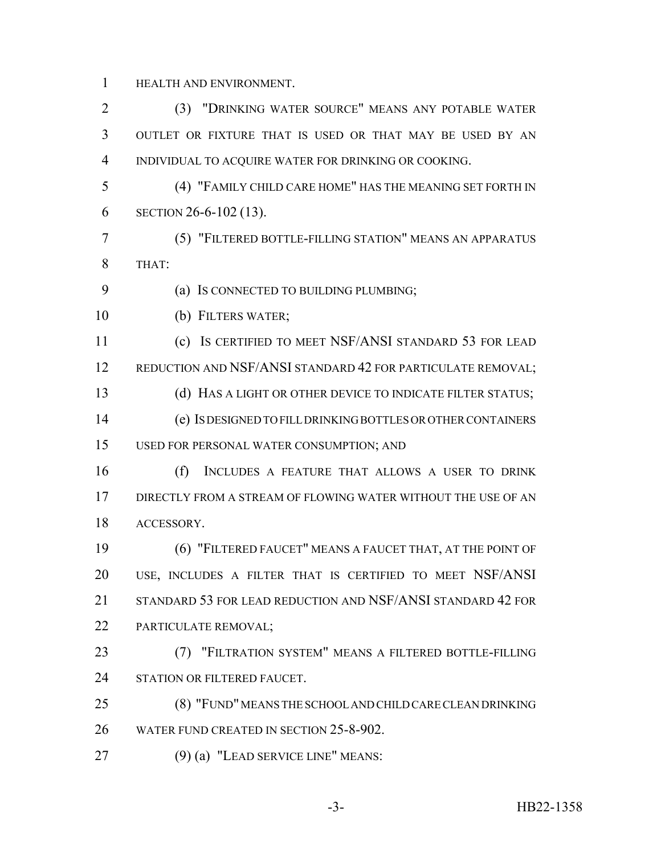HEALTH AND ENVIRONMENT.

 (3) "DRINKING WATER SOURCE" MEANS ANY POTABLE WATER OUTLET OR FIXTURE THAT IS USED OR THAT MAY BE USED BY AN INDIVIDUAL TO ACQUIRE WATER FOR DRINKING OR COOKING. (4) "FAMILY CHILD CARE HOME" HAS THE MEANING SET FORTH IN SECTION 26-6-102 (13). (5) "FILTERED BOTTLE-FILLING STATION" MEANS AN APPARATUS THAT: (a) IS CONNECTED TO BUILDING PLUMBING; (b) FILTERS WATER; (c) IS CERTIFIED TO MEET NSF/ANSI STANDARD 53 FOR LEAD 12 REDUCTION AND NSF/ANSI STANDARD 42 FOR PARTICULATE REMOVAL; (d) HAS A LIGHT OR OTHER DEVICE TO INDICATE FILTER STATUS; (e) IS DESIGNED TO FILL DRINKING BOTTLES OR OTHER CONTAINERS USED FOR PERSONAL WATER CONSUMPTION; AND (f) INCLUDES A FEATURE THAT ALLOWS A USER TO DRINK DIRECTLY FROM A STREAM OF FLOWING WATER WITHOUT THE USE OF AN ACCESSORY. (6) "FILTERED FAUCET" MEANS A FAUCET THAT, AT THE POINT OF USE, INCLUDES A FILTER THAT IS CERTIFIED TO MEET NSF/ANSI 21 STANDARD 53 FOR LEAD REDUCTION AND NSF/ANSI STANDARD 42 FOR PARTICULATE REMOVAL; (7) "FILTRATION SYSTEM" MEANS A FILTERED BOTTLE-FILLING 24 STATION OR FILTERED FAUCET. (8) "FUND" MEANS THE SCHOOL AND CHILD CARE CLEAN DRINKING 26 WATER FUND CREATED IN SECTION 25-8-902. (9) (a) "LEAD SERVICE LINE" MEANS: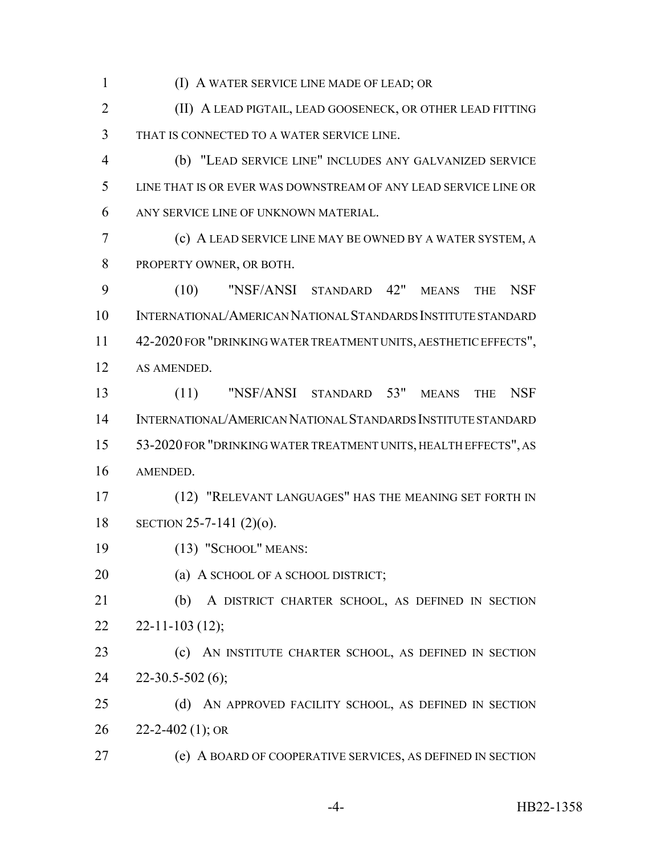(I) A WATER SERVICE LINE MADE OF LEAD; OR

 (II) A LEAD PIGTAIL, LEAD GOOSENECK, OR OTHER LEAD FITTING THAT IS CONNECTED TO A WATER SERVICE LINE.

 (b) "LEAD SERVICE LINE" INCLUDES ANY GALVANIZED SERVICE LINE THAT IS OR EVER WAS DOWNSTREAM OF ANY LEAD SERVICE LINE OR ANY SERVICE LINE OF UNKNOWN MATERIAL.

 (c) A LEAD SERVICE LINE MAY BE OWNED BY A WATER SYSTEM, A PROPERTY OWNER, OR BOTH.

 (10) "NSF/ANSI STANDARD 42" MEANS THE NSF INTERNATIONAL/AMERICAN NATIONAL STANDARDS INSTITUTE STANDARD 42-2020 FOR "DRINKING WATER TREATMENT UNITS, AESTHETIC EFFECTS", AS AMENDED.

 (11) "NSF/ANSI STANDARD 53" MEANS THE NSF INTERNATIONAL/AMERICAN NATIONAL STANDARDS INSTITUTE STANDARD 53-2020 FOR "DRINKING WATER TREATMENT UNITS, HEALTH EFFECTS", AS AMENDED.

 (12) "RELEVANT LANGUAGES" HAS THE MEANING SET FORTH IN SECTION 25-7-141 (2)(o).

(13) "SCHOOL" MEANS:

**(a) A SCHOOL OF A SCHOOL DISTRICT;** 

 (b) A DISTRICT CHARTER SCHOOL, AS DEFINED IN SECTION  $22 - 22 - 11 - 103$  (12);

 (c) AN INSTITUTE CHARTER SCHOOL, AS DEFINED IN SECTION 22-30.5-502 (6);

25 (d) AN APPROVED FACILITY SCHOOL, AS DEFINED IN SECTION  $26 \quad 22 - 2 - 402 \quad (1); \text{OR}$ 

(e) A BOARD OF COOPERATIVE SERVICES, AS DEFINED IN SECTION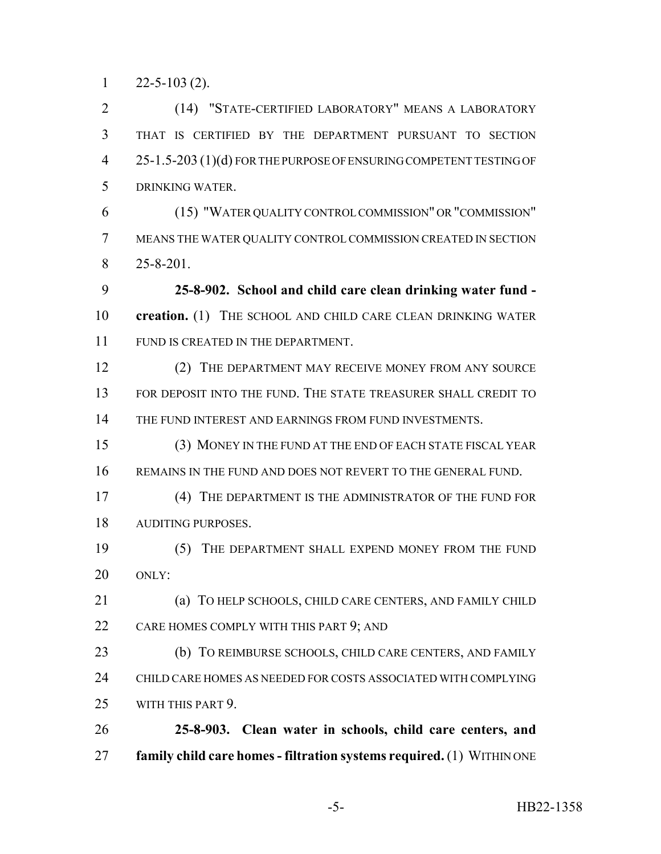$1 \qquad 22 - 5 - 103 \tag{2}.$ 

 (14) "STATE-CERTIFIED LABORATORY" MEANS A LABORATORY THAT IS CERTIFIED BY THE DEPARTMENT PURSUANT TO SECTION 25-1.5-203 (1)(d) FOR THE PURPOSE OF ENSURING COMPETENT TESTING OF DRINKING WATER.

 (15) "WATER QUALITY CONTROL COMMISSION" OR "COMMISSION" MEANS THE WATER QUALITY CONTROL COMMISSION CREATED IN SECTION 25-8-201.

 **25-8-902. School and child care clean drinking water fund - creation.** (1) THE SCHOOL AND CHILD CARE CLEAN DRINKING WATER 11 FUND IS CREATED IN THE DEPARTMENT.

 (2) THE DEPARTMENT MAY RECEIVE MONEY FROM ANY SOURCE FOR DEPOSIT INTO THE FUND. THE STATE TREASURER SHALL CREDIT TO 14 THE FUND INTEREST AND EARNINGS FROM FUND INVESTMENTS.

 (3) MONEY IN THE FUND AT THE END OF EACH STATE FISCAL YEAR REMAINS IN THE FUND AND DOES NOT REVERT TO THE GENERAL FUND.

 (4) THE DEPARTMENT IS THE ADMINISTRATOR OF THE FUND FOR AUDITING PURPOSES.

 (5) THE DEPARTMENT SHALL EXPEND MONEY FROM THE FUND ONLY:

 (a) TO HELP SCHOOLS, CHILD CARE CENTERS, AND FAMILY CHILD 22 CARE HOMES COMPLY WITH THIS PART 9; AND

 (b) TO REIMBURSE SCHOOLS, CHILD CARE CENTERS, AND FAMILY CHILD CARE HOMES AS NEEDED FOR COSTS ASSOCIATED WITH COMPLYING WITH THIS PART 9.

 **25-8-903. Clean water in schools, child care centers, and family child care homes - filtration systems required.** (1) WITHIN ONE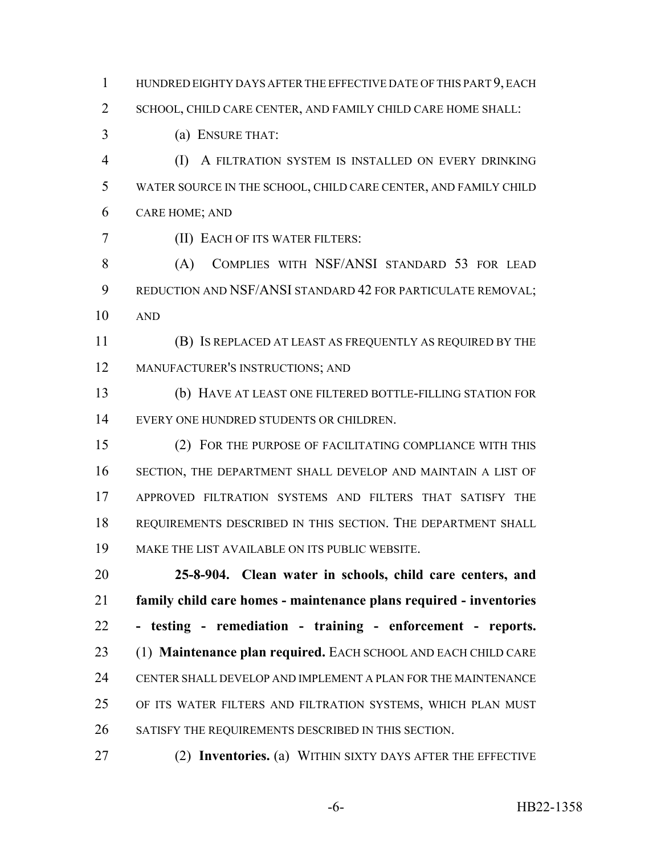HUNDRED EIGHTY DAYS AFTER THE EFFECTIVE DATE OF THIS PART 9, EACH SCHOOL, CHILD CARE CENTER, AND FAMILY CHILD CARE HOME SHALL: (a) ENSURE THAT: (I) A FILTRATION SYSTEM IS INSTALLED ON EVERY DRINKING

 WATER SOURCE IN THE SCHOOL, CHILD CARE CENTER, AND FAMILY CHILD CARE HOME; AND

(II) EACH OF ITS WATER FILTERS:

 (A) COMPLIES WITH NSF/ANSI STANDARD 53 FOR LEAD REDUCTION AND NSF/ANSI STANDARD 42 FOR PARTICULATE REMOVAL; AND

 (B) IS REPLACED AT LEAST AS FREQUENTLY AS REQUIRED BY THE MANUFACTURER'S INSTRUCTIONS; AND

 (b) HAVE AT LEAST ONE FILTERED BOTTLE-FILLING STATION FOR EVERY ONE HUNDRED STUDENTS OR CHILDREN.

 (2) FOR THE PURPOSE OF FACILITATING COMPLIANCE WITH THIS SECTION, THE DEPARTMENT SHALL DEVELOP AND MAINTAIN A LIST OF APPROVED FILTRATION SYSTEMS AND FILTERS THAT SATISFY THE REQUIREMENTS DESCRIBED IN THIS SECTION. THE DEPARTMENT SHALL MAKE THE LIST AVAILABLE ON ITS PUBLIC WEBSITE.

 **25-8-904. Clean water in schools, child care centers, and family child care homes - maintenance plans required - inventories - testing - remediation - training - enforcement - reports.** (1) **Maintenance plan required.** EACH SCHOOL AND EACH CHILD CARE CENTER SHALL DEVELOP AND IMPLEMENT A PLAN FOR THE MAINTENANCE OF ITS WATER FILTERS AND FILTRATION SYSTEMS, WHICH PLAN MUST SATISFY THE REQUIREMENTS DESCRIBED IN THIS SECTION.

(2) **Inventories.** (a) WITHIN SIXTY DAYS AFTER THE EFFECTIVE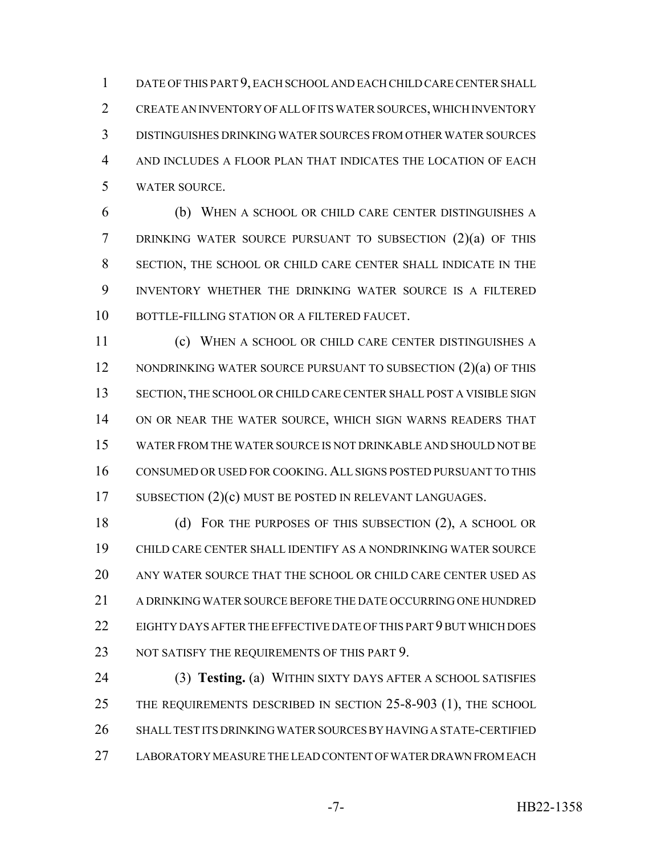DATE OF THIS PART 9, EACH SCHOOL AND EACH CHILD CARE CENTER SHALL CREATE AN INVENTORY OF ALL OF ITS WATER SOURCES, WHICH INVENTORY DISTINGUISHES DRINKING WATER SOURCES FROM OTHER WATER SOURCES AND INCLUDES A FLOOR PLAN THAT INDICATES THE LOCATION OF EACH WATER SOURCE.

 (b) WHEN A SCHOOL OR CHILD CARE CENTER DISTINGUISHES A DRINKING WATER SOURCE PURSUANT TO SUBSECTION (2)(a) OF THIS SECTION, THE SCHOOL OR CHILD CARE CENTER SHALL INDICATE IN THE INVENTORY WHETHER THE DRINKING WATER SOURCE IS A FILTERED BOTTLE-FILLING STATION OR A FILTERED FAUCET.

 (c) WHEN A SCHOOL OR CHILD CARE CENTER DISTINGUISHES A 12 NONDRINKING WATER SOURCE PURSUANT TO SUBSECTION (2)(a) OF THIS 13 SECTION, THE SCHOOL OR CHILD CARE CENTER SHALL POST A VISIBLE SIGN ON OR NEAR THE WATER SOURCE, WHICH SIGN WARNS READERS THAT WATER FROM THE WATER SOURCE IS NOT DRINKABLE AND SHOULD NOT BE CONSUMED OR USED FOR COOKING. ALL SIGNS POSTED PURSUANT TO THIS 17 SUBSECTION (2)(c) MUST BE POSTED IN RELEVANT LANGUAGES.

 (d) FOR THE PURPOSES OF THIS SUBSECTION (2), A SCHOOL OR CHILD CARE CENTER SHALL IDENTIFY AS A NONDRINKING WATER SOURCE ANY WATER SOURCE THAT THE SCHOOL OR CHILD CARE CENTER USED AS A DRINKING WATER SOURCE BEFORE THE DATE OCCURRING ONE HUNDRED EIGHTY DAYS AFTER THE EFFECTIVE DATE OF THIS PART 9 BUT WHICH DOES 23 NOT SATISFY THE REQUIREMENTS OF THIS PART 9.

 (3) **Testing.** (a) WITHIN SIXTY DAYS AFTER A SCHOOL SATISFIES THE REQUIREMENTS DESCRIBED IN SECTION 25-8-903 (1), THE SCHOOL SHALL TEST ITS DRINKING WATER SOURCES BY HAVING A STATE-CERTIFIED LABORATORY MEASURE THE LEAD CONTENT OF WATER DRAWN FROM EACH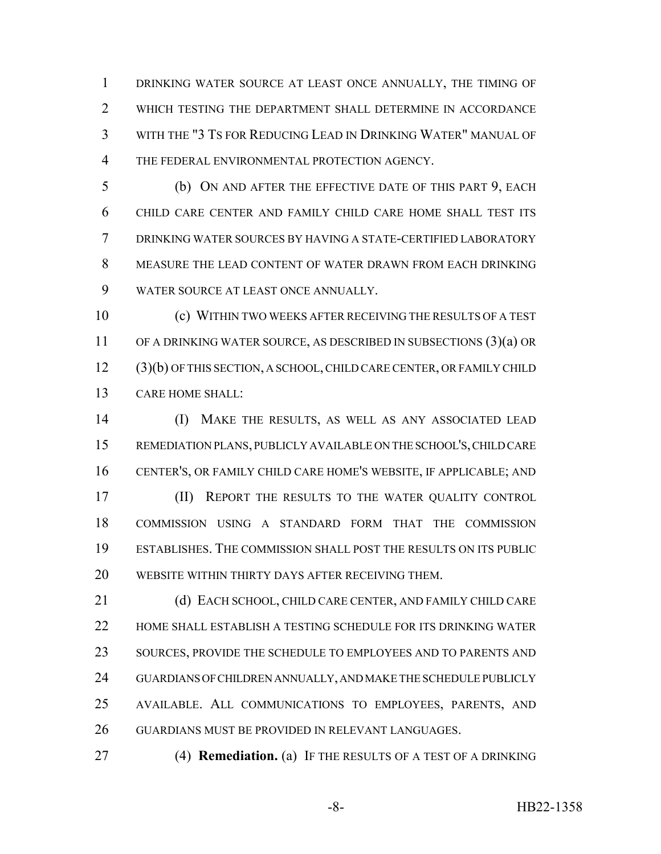DRINKING WATER SOURCE AT LEAST ONCE ANNUALLY, THE TIMING OF WHICH TESTING THE DEPARTMENT SHALL DETERMINE IN ACCORDANCE WITH THE "3 TS FOR REDUCING LEAD IN DRINKING WATER" MANUAL OF 4 THE FEDERAL ENVIRONMENTAL PROTECTION AGENCY.

 (b) ON AND AFTER THE EFFECTIVE DATE OF THIS PART 9, EACH CHILD CARE CENTER AND FAMILY CHILD CARE HOME SHALL TEST ITS DRINKING WATER SOURCES BY HAVING A STATE-CERTIFIED LABORATORY MEASURE THE LEAD CONTENT OF WATER DRAWN FROM EACH DRINKING WATER SOURCE AT LEAST ONCE ANNUALLY.

 (c) WITHIN TWO WEEKS AFTER RECEIVING THE RESULTS OF A TEST OF A DRINKING WATER SOURCE, AS DESCRIBED IN SUBSECTIONS (3)(a) OR (3)(b) OF THIS SECTION, A SCHOOL, CHILD CARE CENTER, OR FAMILY CHILD CARE HOME SHALL:

 (I) MAKE THE RESULTS, AS WELL AS ANY ASSOCIATED LEAD REMEDIATION PLANS, PUBLICLY AVAILABLE ON THE SCHOOL'S, CHILD CARE CENTER'S, OR FAMILY CHILD CARE HOME'S WEBSITE, IF APPLICABLE; AND (II) REPORT THE RESULTS TO THE WATER QUALITY CONTROL COMMISSION USING A STANDARD FORM THAT THE COMMISSION ESTABLISHES. THE COMMISSION SHALL POST THE RESULTS ON ITS PUBLIC WEBSITE WITHIN THIRTY DAYS AFTER RECEIVING THEM.

 (d) EACH SCHOOL, CHILD CARE CENTER, AND FAMILY CHILD CARE HOME SHALL ESTABLISH A TESTING SCHEDULE FOR ITS DRINKING WATER 23 SOURCES, PROVIDE THE SCHEDULE TO EMPLOYEES AND TO PARENTS AND GUARDIANS OF CHILDREN ANNUALLY, AND MAKE THE SCHEDULE PUBLICLY AVAILABLE. ALL COMMUNICATIONS TO EMPLOYEES, PARENTS, AND GUARDIANS MUST BE PROVIDED IN RELEVANT LANGUAGES.

(4) **Remediation.** (a) IF THE RESULTS OF A TEST OF A DRINKING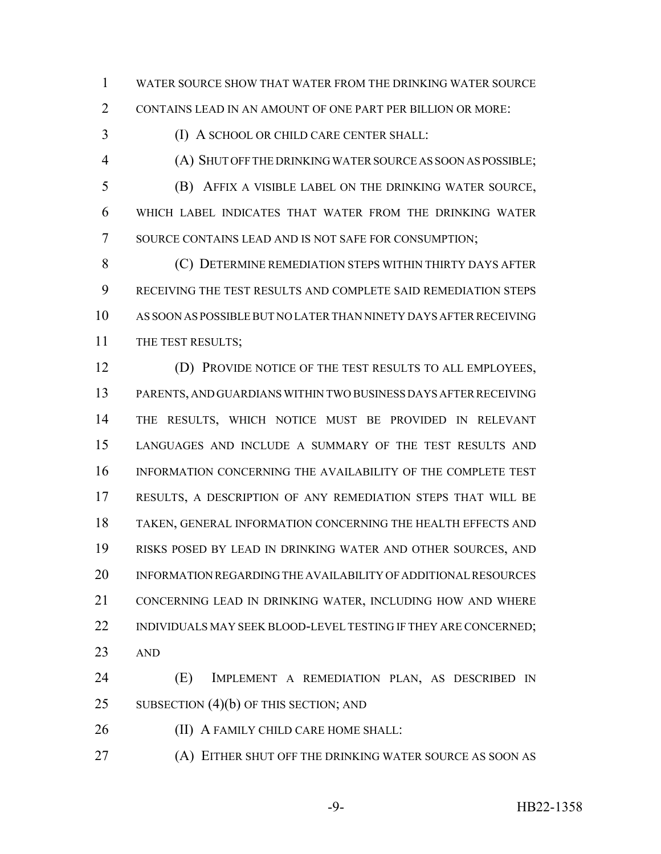WATER SOURCE SHOW THAT WATER FROM THE DRINKING WATER SOURCE CONTAINS LEAD IN AN AMOUNT OF ONE PART PER BILLION OR MORE:

(I) A SCHOOL OR CHILD CARE CENTER SHALL:

(A) SHUT OFF THE DRINKING WATER SOURCE AS SOON AS POSSIBLE;

 (B) AFFIX A VISIBLE LABEL ON THE DRINKING WATER SOURCE, WHICH LABEL INDICATES THAT WATER FROM THE DRINKING WATER 7 SOURCE CONTAINS LEAD AND IS NOT SAFE FOR CONSUMPTION;

 (C) DETERMINE REMEDIATION STEPS WITHIN THIRTY DAYS AFTER RECEIVING THE TEST RESULTS AND COMPLETE SAID REMEDIATION STEPS AS SOON AS POSSIBLE BUT NO LATER THAN NINETY DAYS AFTER RECEIVING 11 THE TEST RESULTS;

 (D) PROVIDE NOTICE OF THE TEST RESULTS TO ALL EMPLOYEES, PARENTS, AND GUARDIANS WITHIN TWO BUSINESS DAYS AFTER RECEIVING THE RESULTS, WHICH NOTICE MUST BE PROVIDED IN RELEVANT LANGUAGES AND INCLUDE A SUMMARY OF THE TEST RESULTS AND INFORMATION CONCERNING THE AVAILABILITY OF THE COMPLETE TEST RESULTS, A DESCRIPTION OF ANY REMEDIATION STEPS THAT WILL BE TAKEN, GENERAL INFORMATION CONCERNING THE HEALTH EFFECTS AND RISKS POSED BY LEAD IN DRINKING WATER AND OTHER SOURCES, AND INFORMATION REGARDING THE AVAILABILITY OF ADDITIONAL RESOURCES CONCERNING LEAD IN DRINKING WATER, INCLUDING HOW AND WHERE 22 INDIVIDUALS MAY SEEK BLOOD-LEVEL TESTING IF THEY ARE CONCERNED; AND

 (E) IMPLEMENT A REMEDIATION PLAN, AS DESCRIBED IN 25 SUBSECTION (4)(b) OF THIS SECTION; AND

**(II) A FAMILY CHILD CARE HOME SHALL:** 

(A) EITHER SHUT OFF THE DRINKING WATER SOURCE AS SOON AS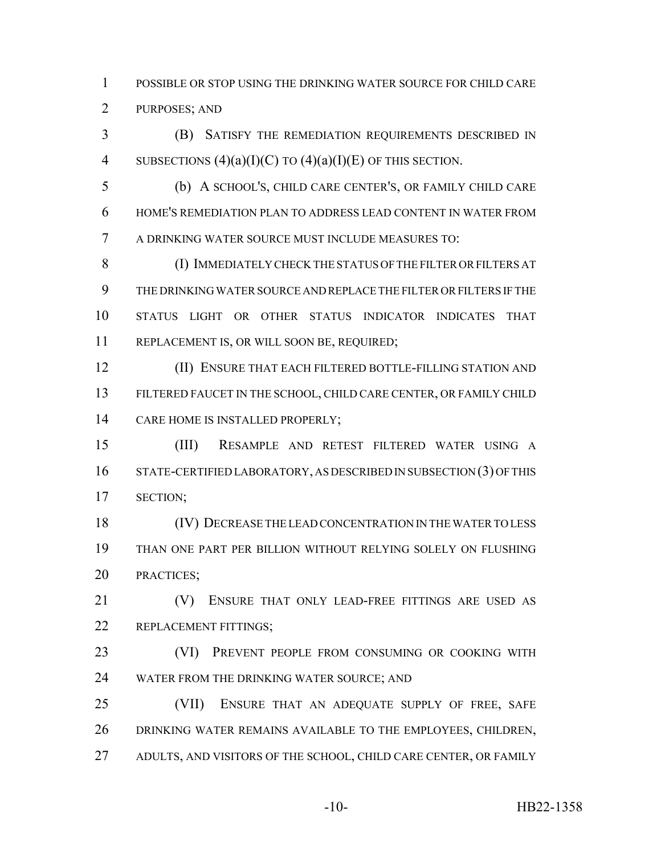POSSIBLE OR STOP USING THE DRINKING WATER SOURCE FOR CHILD CARE PURPOSES; AND

 (B) SATISFY THE REMEDIATION REQUIREMENTS DESCRIBED IN 4 SUBSECTIONS  $(4)(a)(I)(C)$  TO  $(4)(a)(I)(E)$  OF THIS SECTION.

 (b) A SCHOOL'S, CHILD CARE CENTER'S, OR FAMILY CHILD CARE HOME'S REMEDIATION PLAN TO ADDRESS LEAD CONTENT IN WATER FROM A DRINKING WATER SOURCE MUST INCLUDE MEASURES TO:

 (I) IMMEDIATELY CHECK THE STATUS OF THE FILTER OR FILTERS AT THE DRINKING WATER SOURCE AND REPLACE THE FILTER OR FILTERS IF THE STATUS LIGHT OR OTHER STATUS INDICATOR INDICATES THAT REPLACEMENT IS, OR WILL SOON BE, REQUIRED;

 (II) ENSURE THAT EACH FILTERED BOTTLE-FILLING STATION AND FILTERED FAUCET IN THE SCHOOL, CHILD CARE CENTER, OR FAMILY CHILD CARE HOME IS INSTALLED PROPERLY;

 (III) RESAMPLE AND RETEST FILTERED WATER USING A STATE-CERTIFIED LABORATORY, AS DESCRIBED IN SUBSECTION (3) OF THIS SECTION;

 (IV) DECREASE THE LEAD CONCENTRATION IN THE WATER TO LESS THAN ONE PART PER BILLION WITHOUT RELYING SOLELY ON FLUSHING PRACTICES;

 (V) ENSURE THAT ONLY LEAD-FREE FITTINGS ARE USED AS 22 REPLACEMENT FITTINGS:

 (VI) PREVENT PEOPLE FROM CONSUMING OR COOKING WITH WATER FROM THE DRINKING WATER SOURCE; AND

 (VII) ENSURE THAT AN ADEQUATE SUPPLY OF FREE, SAFE DRINKING WATER REMAINS AVAILABLE TO THE EMPLOYEES, CHILDREN, 27 ADULTS, AND VISITORS OF THE SCHOOL, CHILD CARE CENTER, OR FAMILY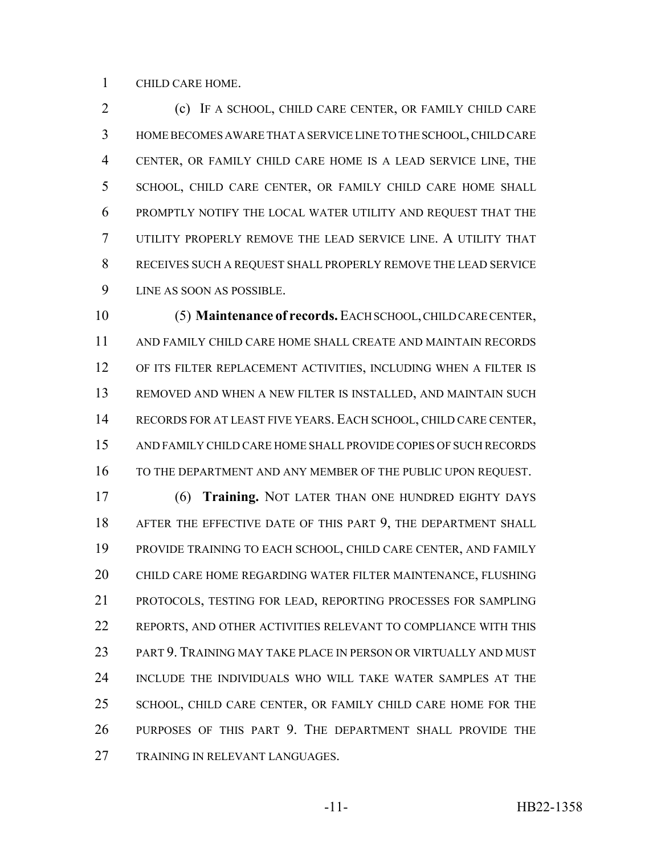CHILD CARE HOME.

 (c) IF A SCHOOL, CHILD CARE CENTER, OR FAMILY CHILD CARE HOME BECOMES AWARE THAT A SERVICE LINE TO THE SCHOOL, CHILD CARE CENTER, OR FAMILY CHILD CARE HOME IS A LEAD SERVICE LINE, THE SCHOOL, CHILD CARE CENTER, OR FAMILY CHILD CARE HOME SHALL PROMPTLY NOTIFY THE LOCAL WATER UTILITY AND REQUEST THAT THE UTILITY PROPERLY REMOVE THE LEAD SERVICE LINE. A UTILITY THAT RECEIVES SUCH A REQUEST SHALL PROPERLY REMOVE THE LEAD SERVICE LINE AS SOON AS POSSIBLE.

 (5) **Maintenance of records.** EACH SCHOOL, CHILD CARE CENTER, AND FAMILY CHILD CARE HOME SHALL CREATE AND MAINTAIN RECORDS OF ITS FILTER REPLACEMENT ACTIVITIES, INCLUDING WHEN A FILTER IS REMOVED AND WHEN A NEW FILTER IS INSTALLED, AND MAINTAIN SUCH RECORDS FOR AT LEAST FIVE YEARS. EACH SCHOOL, CHILD CARE CENTER, AND FAMILY CHILD CARE HOME SHALL PROVIDE COPIES OF SUCH RECORDS 16 TO THE DEPARTMENT AND ANY MEMBER OF THE PUBLIC UPON REQUEST.

 (6) **Training.** NOT LATER THAN ONE HUNDRED EIGHTY DAYS AFTER THE EFFECTIVE DATE OF THIS PART 9, THE DEPARTMENT SHALL PROVIDE TRAINING TO EACH SCHOOL, CHILD CARE CENTER, AND FAMILY CHILD CARE HOME REGARDING WATER FILTER MAINTENANCE, FLUSHING PROTOCOLS, TESTING FOR LEAD, REPORTING PROCESSES FOR SAMPLING REPORTS, AND OTHER ACTIVITIES RELEVANT TO COMPLIANCE WITH THIS PART 9. TRAINING MAY TAKE PLACE IN PERSON OR VIRTUALLY AND MUST INCLUDE THE INDIVIDUALS WHO WILL TAKE WATER SAMPLES AT THE SCHOOL, CHILD CARE CENTER, OR FAMILY CHILD CARE HOME FOR THE PURPOSES OF THIS PART 9. THE DEPARTMENT SHALL PROVIDE THE TRAINING IN RELEVANT LANGUAGES.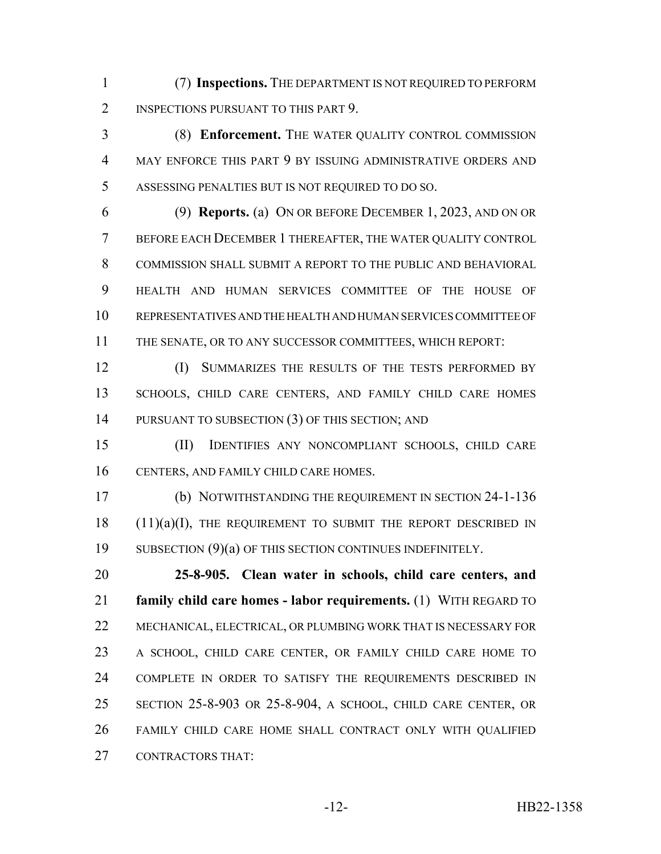(7) **Inspections.** THE DEPARTMENT IS NOT REQUIRED TO PERFORM 2 INSPECTIONS PURSUANT TO THIS PART 9.

 (8) **Enforcement.** THE WATER QUALITY CONTROL COMMISSION MAY ENFORCE THIS PART 9 BY ISSUING ADMINISTRATIVE ORDERS AND ASSESSING PENALTIES BUT IS NOT REQUIRED TO DO SO.

 (9) **Reports.** (a) ON OR BEFORE DECEMBER 1, 2023, AND ON OR BEFORE EACH DECEMBER 1 THEREAFTER, THE WATER QUALITY CONTROL 8 COMMISSION SHALL SUBMIT A REPORT TO THE PUBLIC AND BEHAVIORAL HEALTH AND HUMAN SERVICES COMMITTEE OF THE HOUSE OF REPRESENTATIVES AND THE HEALTH AND HUMAN SERVICES COMMITTEE OF THE SENATE, OR TO ANY SUCCESSOR COMMITTEES, WHICH REPORT:

 (I) SUMMARIZES THE RESULTS OF THE TESTS PERFORMED BY SCHOOLS, CHILD CARE CENTERS, AND FAMILY CHILD CARE HOMES 14 PURSUANT TO SUBSECTION (3) OF THIS SECTION; AND

 (II) IDENTIFIES ANY NONCOMPLIANT SCHOOLS, CHILD CARE CENTERS, AND FAMILY CHILD CARE HOMES.

 (b) NOTWITHSTANDING THE REQUIREMENT IN SECTION 24-1-136 (11)(a)(I), THE REQUIREMENT TO SUBMIT THE REPORT DESCRIBED IN 19 SUBSECTION (9)(a) OF THIS SECTION CONTINUES INDEFINITELY.

 **25-8-905. Clean water in schools, child care centers, and family child care homes - labor requirements.** (1) WITH REGARD TO MECHANICAL, ELECTRICAL, OR PLUMBING WORK THAT IS NECESSARY FOR A SCHOOL, CHILD CARE CENTER, OR FAMILY CHILD CARE HOME TO COMPLETE IN ORDER TO SATISFY THE REQUIREMENTS DESCRIBED IN SECTION 25-8-903 OR 25-8-904, A SCHOOL, CHILD CARE CENTER, OR FAMILY CHILD CARE HOME SHALL CONTRACT ONLY WITH QUALIFIED CONTRACTORS THAT: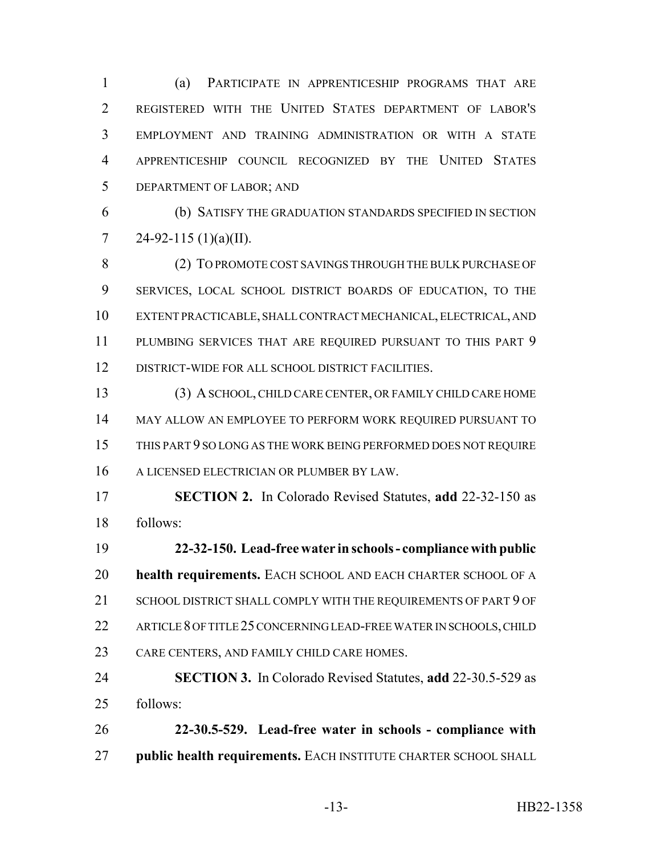(a) PARTICIPATE IN APPRENTICESHIP PROGRAMS THAT ARE REGISTERED WITH THE UNITED STATES DEPARTMENT OF LABOR'S EMPLOYMENT AND TRAINING ADMINISTRATION OR WITH A STATE APPRENTICESHIP COUNCIL RECOGNIZED BY THE UNITED STATES DEPARTMENT OF LABOR; AND

 (b) SATISFY THE GRADUATION STANDARDS SPECIFIED IN SECTION 7 24-92-115 (1)(a)(II).

 (2) TO PROMOTE COST SAVINGS THROUGH THE BULK PURCHASE OF SERVICES, LOCAL SCHOOL DISTRICT BOARDS OF EDUCATION, TO THE EXTENT PRACTICABLE, SHALL CONTRACT MECHANICAL, ELECTRICAL, AND 11 PLUMBING SERVICES THAT ARE REQUIRED PURSUANT TO THIS PART 9 DISTRICT-WIDE FOR ALL SCHOOL DISTRICT FACILITIES.

 (3) A SCHOOL, CHILD CARE CENTER, OR FAMILY CHILD CARE HOME MAY ALLOW AN EMPLOYEE TO PERFORM WORK REQUIRED PURSUANT TO THIS PART 9 SO LONG AS THE WORK BEING PERFORMED DOES NOT REQUIRE A LICENSED ELECTRICIAN OR PLUMBER BY LAW.

 **SECTION 2.** In Colorado Revised Statutes, **add** 22-32-150 as follows:

 **22-32-150. Lead-free water in schools - compliance with public health requirements.** EACH SCHOOL AND EACH CHARTER SCHOOL OF A 21 SCHOOL DISTRICT SHALL COMPLY WITH THE REQUIREMENTS OF PART 9 OF 22 ARTICLE 8 OF TITLE 25 CONCERNING LEAD-FREE WATER IN SCHOOLS, CHILD CARE CENTERS, AND FAMILY CHILD CARE HOMES.

 **SECTION 3.** In Colorado Revised Statutes, **add** 22-30.5-529 as follows:

 **22-30.5-529. Lead-free water in schools - compliance with public health requirements.** EACH INSTITUTE CHARTER SCHOOL SHALL